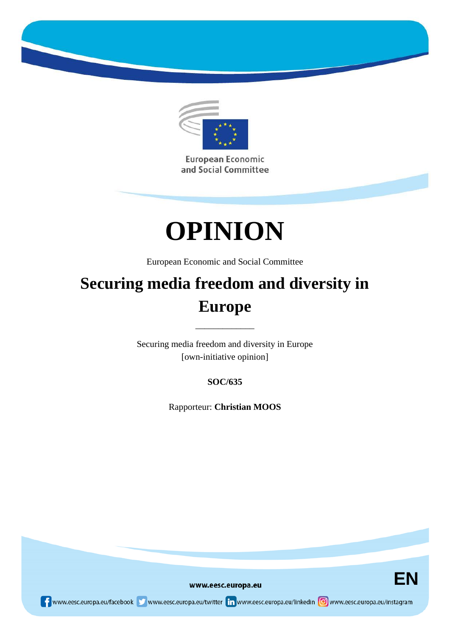

European Economic and Social Committee



European Economic and Social Committee

# **Securing media freedom and diversity in Europe**

Securing media freedom and diversity in Europe [own-initiative opinion]

\_\_\_\_\_\_\_\_\_\_\_\_\_

**SOC/635**

Rapporteur: **Christian MOOS**



www.eesc.europa.eu

www.eesc.europa.eu/facebook www.eesc.europa.eu/twitter in www.eesc.europa.eu/linkedin oww.eesc.europa.eu/instagram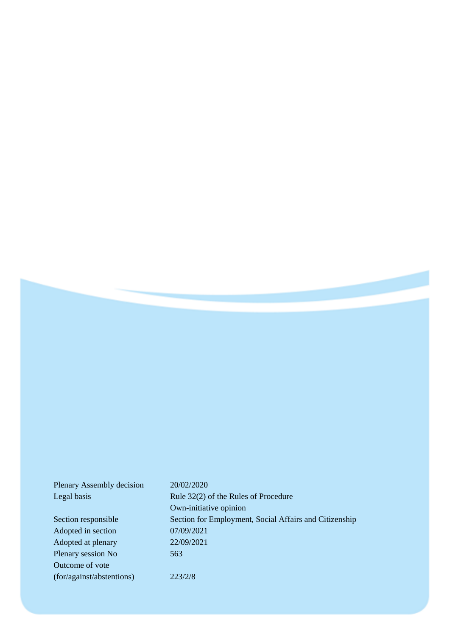| Plenary Assembly decision | 20/02/2020                                             |
|---------------------------|--------------------------------------------------------|
| Legal basis               | Rule $32(2)$ of the Rules of Procedure                 |
|                           | Own-initiative opinion                                 |
| Section responsible       | Section for Employment, Social Affairs and Citizenship |
| Adopted in section        | 07/09/2021                                             |
| Adopted at plenary        | 22/09/2021                                             |
| Plenary session No        | 563                                                    |
| Outcome of vote           |                                                        |
| (for/against/abstentions) | 223/2/8                                                |
|                           |                                                        |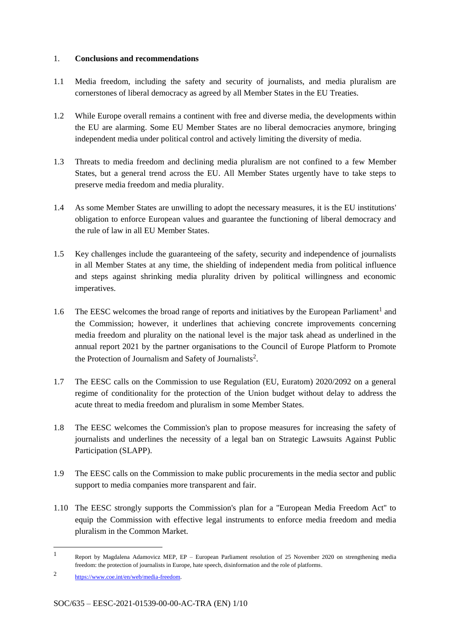### 1. **Conclusions and recommendations**

- 1.1 Media freedom, including the safety and security of journalists, and media pluralism are cornerstones of liberal democracy as agreed by all Member States in the EU Treaties.
- 1.2 While Europe overall remains a continent with free and diverse media, the developments within the EU are alarming. Some EU Member States are no liberal democracies anymore, bringing independent media under political control and actively limiting the diversity of media.
- 1.3 Threats to media freedom and declining media pluralism are not confined to a few Member States, but a general trend across the EU. All Member States urgently have to take steps to preserve media freedom and media plurality.
- 1.4 As some Member States are unwilling to adopt the necessary measures, it is the EU institutions' obligation to enforce European values and guarantee the functioning of liberal democracy and the rule of law in all EU Member States.
- 1.5 Key challenges include the guaranteeing of the safety, security and independence of journalists in all Member States at any time, the shielding of independent media from political influence and steps against shrinking media plurality driven by political willingness and economic imperatives.
- 1.6 The EESC welcomes the broad range of reports and initiatives by the European Parliament<sup>1</sup> and the Commission; however, it underlines that achieving concrete improvements concerning media freedom and plurality on the national level is the major task ahead as underlined in the annual report 2021 by the partner organisations to the Council of Europe Platform to Promote the Protection of Journalism and Safety of Journalists<sup>2</sup>.
- 1.7 The EESC calls on the Commission to use Regulation (EU, Euratom) 2020/2092 on a general regime of conditionality for the protection of the Union budget without delay to address the acute threat to media freedom and pluralism in some Member States.
- 1.8 The EESC welcomes the Commission's plan to propose measures for increasing the safety of journalists and underlines the necessity of a legal ban on Strategic Lawsuits Against Public Participation (SLAPP).
- 1.9 The EESC calls on the Commission to make public procurements in the media sector and public support to media companies more transparent and fair.
- 1.10 The EESC strongly supports the Commission's plan for a ''European Media Freedom Act'' to equip the Commission with effective legal instruments to enforce media freedom and media pluralism in the Common Market.

<sup>1</sup> Report by Magdalena Adamovicz MEP, EP – European Parliament resolution of 25 November 2020 on strengthening media freedom: the protection of journalists in Europe, hate speech, disinformation and the role of platforms.

<sup>2</sup> https://www.coe.int/en/web/media-freedom.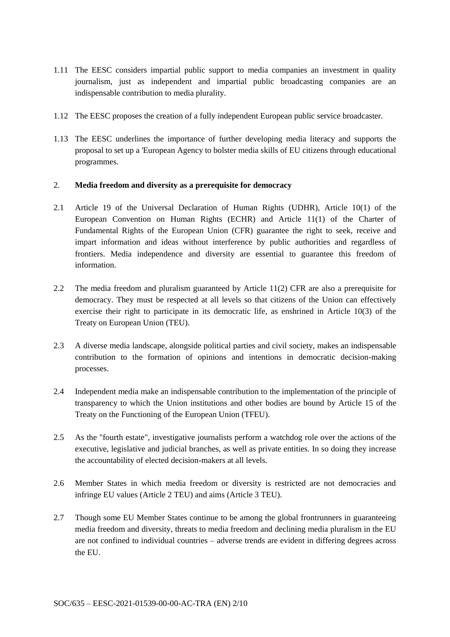- 1.11 The EESC considers impartial public support to media companies an investment in quality journalism, just as independent and impartial public broadcasting companies are an indispensable contribution to media plurality.
- 1.12 The EESC proposes the creation of a fully independent European public service broadcaster.
- 1.13 The EESC underlines the importance of further developing media literacy and supports the proposal to set up a 'European Agency to bolster media skills of EU citizens through educational programmes.

#### 2. **Media freedom and diversity as a prerequisite for democracy**

- 2.1 Article 19 of the Universal Declaration of Human Rights (UDHR), Article 10(1) of the European Convention on Human Rights (ECHR) and Article 11(1) of the Charter of Fundamental Rights of the European Union (CFR) guarantee the right to seek, receive and impart information and ideas without interference by public authorities and regardless of frontiers. Media independence and diversity are essential to guarantee this freedom of information.
- 2.2 The media freedom and pluralism guaranteed by Article 11(2) CFR are also a prerequisite for democracy. They must be respected at all levels so that citizens of the Union can effectively exercise their right to participate in its democratic life, as enshrined in Article 10(3) of the Treaty on European Union (TEU).
- 2.3 A diverse media landscape, alongside political parties and civil society, makes an indispensable contribution to the formation of opinions and intentions in democratic decision-making processes.
- 2.4 Independent media make an indispensable contribution to the implementation of the principle of transparency to which the Union institutions and other bodies are bound by Article 15 of the Treaty on the Functioning of the European Union (TFEU).
- 2.5 As the "fourth estate", investigative journalists perform a watchdog role over the actions of the executive, legislative and judicial branches, as well as private entities. In so doing they increase the accountability of elected decision-makers at all levels.
- 2.6 Member States in which media freedom or diversity is restricted are not democracies and infringe EU values (Article 2 TEU) and aims (Article 3 TEU).
- 2.7 Though some EU Member States continue to be among the global frontrunners in guaranteeing media freedom and diversity, threats to media freedom and declining media pluralism in the EU are not confined to individual countries – adverse trends are evident in differing degrees across the EU.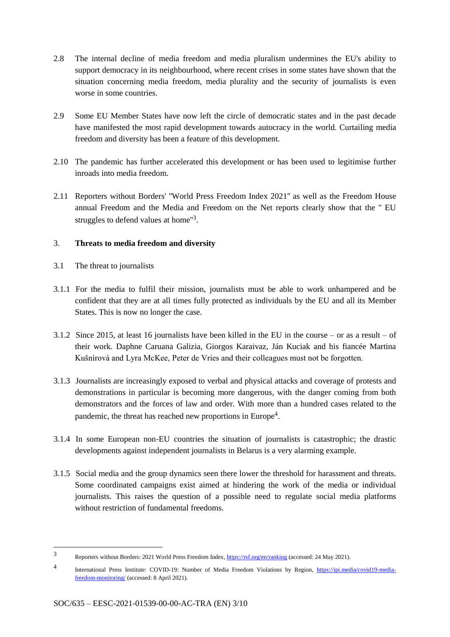- 2.8 The internal decline of media freedom and media pluralism undermines the EU's ability to support democracy in its neighbourhood, where recent crises in some states have shown that the situation concerning media freedom, media plurality and the security of journalists is even worse in some countries.
- 2.9 Some EU Member States have now left the circle of democratic states and in the past decade have manifested the most rapid development towards autocracy in the world. Curtailing media freedom and diversity has been a feature of this development.
- 2.10 The pandemic has further accelerated this development or has been used to legitimise further inroads into media freedom.
- 2.11 Reporters without Borders' ''World Press Freedom Index 2021'' as well as the Freedom House annual Freedom and the Media and Freedom on the Net reports clearly show that the '' EU struggles to defend values at home"<sup>3</sup>.

## 3. **Threats to media freedom and diversity**

3.1 The threat to journalists

- 3.1.1 For the media to fulfil their mission, journalists must be able to work unhampered and be confident that they are at all times fully protected as individuals by the EU and all its Member States. This is now no longer the case.
- 3.1.2 Since 2015, at least 16 journalists have been killed in the EU in the course or as a result of their work. Daphne Caruana Galizia, Giorgos Karaivaz, Ján Kuciak and his fiancée Martina Kušnírová and Lyra McKee, Peter de Vries and their colleagues must not be forgotten.
- 3.1.3 Journalists are increasingly exposed to verbal and physical attacks and coverage of protests and demonstrations in particular is becoming more dangerous, with the danger coming from both demonstrators and the forces of law and order. With more than a hundred cases related to the pandemic, the threat has reached new proportions in Europe<sup>4</sup>.
- 3.1.4 In some European non-EU countries the situation of journalists is catastrophic; the drastic developments against independent journalists in Belarus is a very alarming example.
- 3.1.5 Social media and the group dynamics seen there lower the threshold for harassment and threats. Some coordinated campaigns exist aimed at hindering the work of the media or individual journalists. This raises the question of a possible need to regulate social media platforms without restriction of fundamental freedoms.

<sup>3</sup> Reporters without Borders: 2021 World Press Freedom Index, https://rsf.org/en/ranking (accessed: 24 May 2021).

<sup>4</sup> International Press Institute: COVID-19: Number of Media Freedom Violations by Region, https://ipi.media/covid19-mediafreedom-monitoring/ (accessed: 8 April 2021).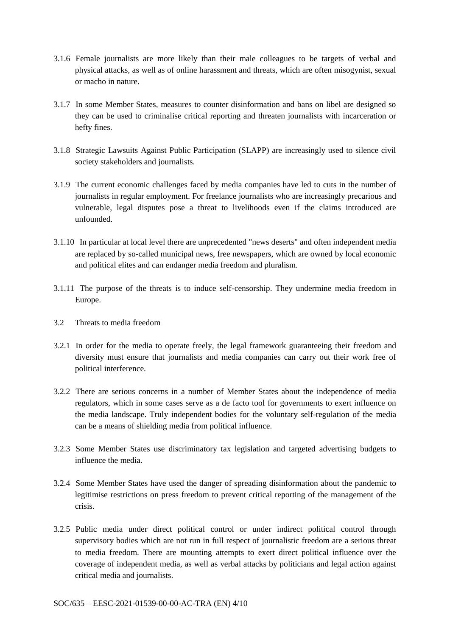- 3.1.6 Female journalists are more likely than their male colleagues to be targets of verbal and physical attacks, as well as of online harassment and threats, which are often misogynist, sexual or macho in nature.
- 3.1.7 In some Member States, measures to counter disinformation and bans on libel are designed so they can be used to criminalise critical reporting and threaten journalists with incarceration or hefty fines.
- 3.1.8 Strategic Lawsuits Against Public Participation (SLAPP) are increasingly used to silence civil society stakeholders and journalists.
- 3.1.9 The current economic challenges faced by media companies have led to cuts in the number of journalists in regular employment. For freelance journalists who are increasingly precarious and vulnerable, legal disputes pose a threat to livelihoods even if the claims introduced are unfounded.
- 3.1.10 In particular at local level there are unprecedented "news deserts" and often independent media are replaced by so-called municipal news, free newspapers, which are owned by local economic and political elites and can endanger media freedom and pluralism.
- 3.1.11 The purpose of the threats is to induce self-censorship. They undermine media freedom in Europe.
- 3.2 Threats to media freedom
- 3.2.1 In order for the media to operate freely, the legal framework guaranteeing their freedom and diversity must ensure that journalists and media companies can carry out their work free of political interference.
- 3.2.2 There are serious concerns in a number of Member States about the independence of media regulators, which in some cases serve as a de facto tool for governments to exert influence on the media landscape. Truly independent bodies for the voluntary self-regulation of the media can be a means of shielding media from political influence.
- 3.2.3 Some Member States use discriminatory tax legislation and targeted advertising budgets to influence the media.
- 3.2.4 Some Member States have used the danger of spreading disinformation about the pandemic to legitimise restrictions on press freedom to prevent critical reporting of the management of the crisis.
- 3.2.5 Public media under direct political control or under indirect political control through supervisory bodies which are not run in full respect of journalistic freedom are a serious threat to media freedom. There are mounting attempts to exert direct political influence over the coverage of independent media, as well as verbal attacks by politicians and legal action against critical media and journalists.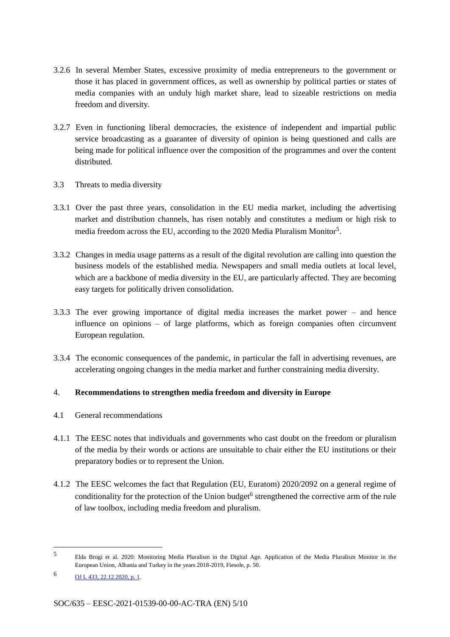- 3.2.6 In several Member States, excessive proximity of media entrepreneurs to the government or those it has placed in government offices, as well as ownership by political parties or states of media companies with an unduly high market share, lead to sizeable restrictions on media freedom and diversity.
- 3.2.7 Even in functioning liberal democracies, the existence of independent and impartial public service broadcasting as a guarantee of diversity of opinion is being questioned and calls are being made for political influence over the composition of the programmes and over the content distributed.
- 3.3 Threats to media diversity
- 3.3.1 Over the past three years, consolidation in the EU media market, including the advertising market and distribution channels, has risen notably and constitutes a medium or high risk to media freedom across the EU, according to the 2020 Media Pluralism Monitor<sup>5</sup>.
- 3.3.2 Changes in media usage patterns as a result of the digital revolution are calling into question the business models of the established media. Newspapers and small media outlets at local level, which are a backbone of media diversity in the EU, are particularly affected. They are becoming easy targets for politically driven consolidation.
- 3.3.3 The ever growing importance of digital media increases the market power and hence influence on opinions – of large platforms, which as foreign companies often circumvent European regulation.
- 3.3.4 The economic consequences of the pandemic, in particular the fall in advertising revenues, are accelerating ongoing changes in the media market and further constraining media diversity.

## 4. **Recommendations to strengthen media freedom and diversity in Europe**

- 4.1 General recommendations
- 4.1.1 The EESC notes that individuals and governments who cast doubt on the freedom or pluralism of the media by their words or actions are unsuitable to chair either the EU institutions or their preparatory bodies or to represent the Union.
- 4.1.2 The EESC welcomes the fact that Regulation (EU, Euratom) 2020/2092 on a general regime of conditionality for the protection of the Union budget<sup>6</sup> strengthened the corrective arm of the rule of law toolbox, including media freedom and pluralism.

<sup>5</sup> Elda Brogi et al. 2020: Monitoring Media Pluralism in the Digital Age. Application of the Media Pluralism Monitor in the European Union, Albania and Turkey in the years 2018-2019, Fiesole, p. 50.

<sup>6</sup> OJ <sup>L</sup> 433, 22.12.2020, p. 1.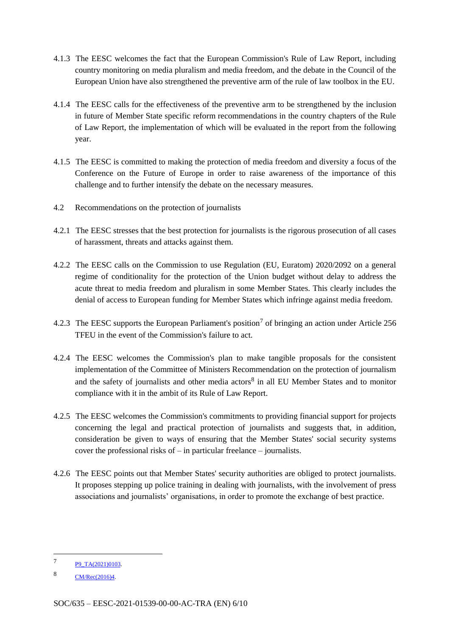- 4.1.3 The EESC welcomes the fact that the European Commission's Rule of Law Report, including country monitoring on media pluralism and media freedom, and the debate in the Council of the European Union have also strengthened the preventive arm of the rule of law toolbox in the EU.
- 4.1.4 The EESC calls for the effectiveness of the preventive arm to be strengthened by the inclusion in future of Member State specific reform recommendations in the country chapters of the Rule of Law Report, the implementation of which will be evaluated in the report from the following year.
- 4.1.5 The EESC is committed to making the protection of media freedom and diversity a focus of the Conference on the Future of Europe in order to raise awareness of the importance of this challenge and to further intensify the debate on the necessary measures.
- 4.2 Recommendations on the protection of journalists
- 4.2.1 The EESC stresses that the best protection for journalists is the rigorous prosecution of all cases of harassment, threats and attacks against them.
- 4.2.2 The EESC calls on the Commission to use Regulation (EU, Euratom) 2020/2092 on a general regime of conditionality for the protection of the Union budget without delay to address the acute threat to media freedom and pluralism in some Member States. This clearly includes the denial of access to European funding for Member States which infringe against media freedom.
- 4.2.3 The EESC supports the European Parliament's position<sup>7</sup> of bringing an action under Article 256 TFEU in the event of the Commission's failure to act.
- 4.2.4 The EESC welcomes the Commission's plan to make tangible proposals for the consistent implementation of the Committee of Ministers Recommendation on the protection of journalism and the safety of journalists and other media actors<sup>8</sup> in all EU Member States and to monitor compliance with it in the ambit of its Rule of Law Report.
- 4.2.5 The EESC welcomes the Commission's commitments to providing financial support for projects concerning the legal and practical protection of journalists and suggests that, in addition, consideration be given to ways of ensuring that the Member States' social security systems cover the professional risks of – in particular freelance – journalists.
- 4.2.6 The EESC points out that Member States' security authorities are obliged to protect journalists. It proposes stepping up police training in dealing with journalists, with the involvement of press associations and journalists' organisations, in order to promote the exchange of best practice.

<sup>7</sup> P9\_TA(2021)0103.

<sup>8</sup> CM/Rec(2016)4.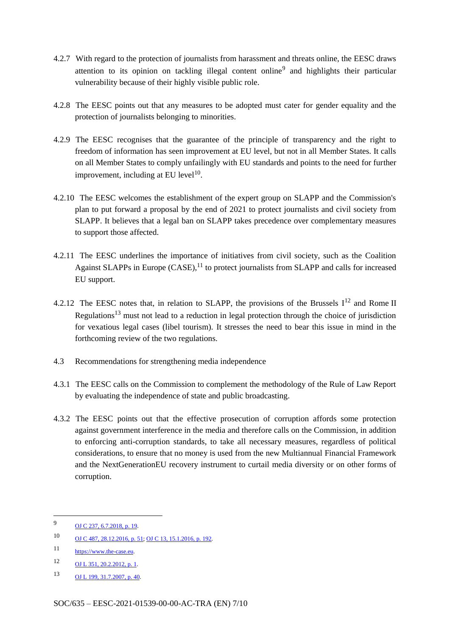- 4.2.7 With regard to the protection of journalists from harassment and threats online, the EESC draws attention to its opinion on tackling illegal content online<sup>9</sup> and highlights their particular vulnerability because of their highly visible public role.
- 4.2.8 The EESC points out that any measures to be adopted must cater for gender equality and the protection of journalists belonging to minorities.
- 4.2.9 The EESC recognises that the guarantee of the principle of transparency and the right to freedom of information has seen improvement at EU level, but not in all Member States. It calls on all Member States to comply unfailingly with EU standards and points to the need for further improvement, including at EU level<sup>10</sup>.
- 4.2.10 The EESC welcomes the establishment of the expert group on SLAPP and the Commission's plan to put forward a proposal by the end of 2021 to protect journalists and civil society from SLAPP. It believes that a legal ban on SLAPP takes precedence over complementary measures to support those affected.
- 4.2.11 The EESC underlines the importance of initiatives from civil society, such as the Coalition Against SLAPPs in Europe  $(CASE)$ ,<sup>11</sup> to protect journalists from SLAPP and calls for increased EU support.
- 4.2.12 The EESC notes that, in relation to SLAPP, the provisions of the Brussels  $I<sup>12</sup>$  and Rome II Regulations<sup>13</sup> must not lead to a reduction in legal protection through the choice of jurisdiction for vexatious legal cases (libel tourism). It stresses the need to bear this issue in mind in the forthcoming review of the two regulations.
- 4.3 Recommendations for strengthening media independence
- 4.3.1 The EESC calls on the Commission to complement the methodology of the Rule of Law Report by evaluating the independence of state and public broadcasting.
- 4.3.2 The EESC points out that the effective prosecution of corruption affords some protection against government interference in the media and therefore calls on the Commission, in addition to enforcing anti-corruption standards, to take all necessary measures, regardless of political considerations, to ensure that no money is used from the new Multiannual Financial Framework and the NextGenerationEU recovery instrument to curtail media diversity or on other forms of corruption.

<sup>9</sup> **OJ C** 237, 6.7.2018, p. 19.

<sup>10</sup> OJ <sup>C</sup> 487, 28.12.2016, p. 51; OJ <sup>C</sup> 13, 15.1.2016, p. 192.

<sup>11</sup> https://www.the-case.eu.

<sup>12</sup> OJ L 351, 20.2.2012, p. 1.

<sup>13</sup> OJ L 199, 31.7.2007, p. 40.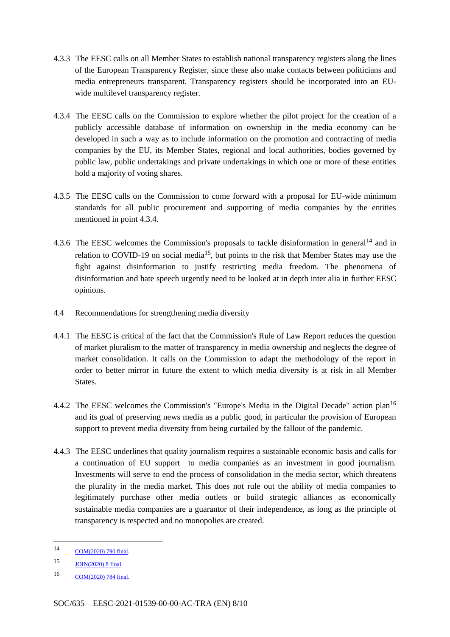- 4.3.3 The EESC calls on all Member States to establish national transparency registers along the lines of the European Transparency Register, since these also make contacts between politicians and media entrepreneurs transparent. Transparency registers should be incorporated into an EUwide multilevel transparency register.
- 4.3.4 The EESC calls on the Commission to explore whether the pilot project for the creation of a publicly accessible database of information on ownership in the media economy can be developed in such a way as to include information on the promotion and contracting of media companies by the EU, its Member States, regional and local authorities, bodies governed by public law, public undertakings and private undertakings in which one or more of these entities hold a majority of voting shares.
- 4.3.5 The EESC calls on the Commission to come forward with a proposal for EU-wide minimum standards for all public procurement and supporting of media companies by the entities mentioned in point 4.3.4.
- 4.3.6 The EESC welcomes the Commission's proposals to tackle disinformation in general<sup>14</sup> and in relation to COVID-19 on social media<sup>15</sup>, but points to the risk that Member States may use the fight against disinformation to justify restricting media freedom. The phenomena of disinformation and hate speech urgently need to be looked at in depth inter alia in further EESC opinions.
- 4.4 Recommendations for strengthening media diversity
- 4.4.1 The EESC is critical of the fact that the Commission's Rule of Law Report reduces the question of market pluralism to the matter of transparency in media ownership and neglects the degree of market consolidation. It calls on the Commission to adapt the methodology of the report in order to better mirror in future the extent to which media diversity is at risk in all Member States.
- 4.4.2 The EESC welcomes the Commission's "Europe's Media in the Digital Decade" action plan<sup>16</sup> and its goal of preserving news media as a public good, in particular the provision of European support to prevent media diversity from being curtailed by the fallout of the pandemic.
- 4.4.3 The EESC underlines that quality journalism requires a sustainable economic basis and calls for a continuation of EU support to media companies as an investment in good journalism. Investments will serve to end the process of consolidation in the media sector, which threatens the plurality in the media market. This does not rule out the ability of media companies to legitimately purchase other media outlets or build strategic alliances as economically sustainable media companies are a guarantor of their independence, as long as the principle of transparency is respected and no monopolies are created.

-

<sup>14</sup> COM(2020) <sup>790</sup> final.

<sup>15</sup> JOIN(2020) <sup>8</sup> final.

<sup>16</sup> COM(2020) 784 final.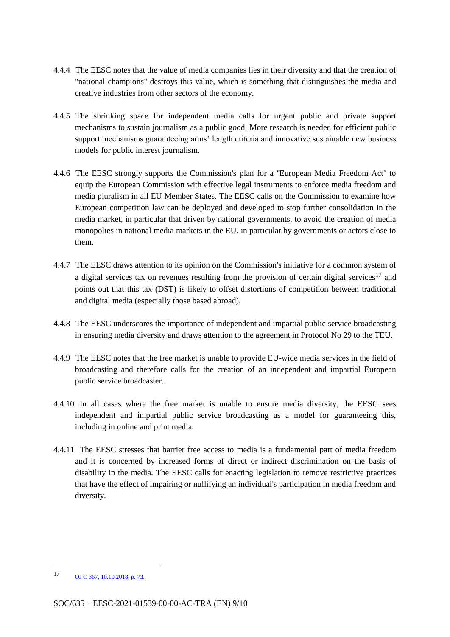- 4.4.4 The EESC notes that the value of media companies lies in their diversity and that the creation of "national champions" destroys this value, which is something that distinguishes the media and creative industries from other sectors of the economy.
- 4.4.5 The shrinking space for independent media calls for urgent public and private support mechanisms to sustain journalism as a public good. More research is needed for efficient public support mechanisms guaranteeing arms' length criteria and innovative sustainable new business models for public interest journalism.
- 4.4.6 The EESC strongly supports the Commission's plan for a ''European Media Freedom Act'' to equip the European Commission with effective legal instruments to enforce media freedom and media pluralism in all EU Member States. The EESC calls on the Commission to examine how European competition law can be deployed and developed to stop further consolidation in the media market, in particular that driven by national governments, to avoid the creation of media monopolies in national media markets in the EU, in particular by governments or actors close to them.
- 4.4.7 The EESC draws attention to its opinion on the Commission's initiative for a common system of a digital services tax on revenues resulting from the provision of certain digital services<sup>17</sup> and points out that this tax (DST) is likely to offset distortions of competition between traditional and digital media (especially those based abroad).
- 4.4.8 The EESC underscores the importance of independent and impartial public service broadcasting in ensuring media diversity and draws attention to the agreement in Protocol No 29 to the TEU.
- 4.4.9 The EESC notes that the free market is unable to provide EU-wide media services in the field of broadcasting and therefore calls for the creation of an independent and impartial European public service broadcaster.
- 4.4.10 In all cases where the free market is unable to ensure media diversity, the EESC sees independent and impartial public service broadcasting as a model for guaranteeing this, including in online and print media.
- 4.4.11 The EESC stresses that barrier free access to media is a fundamental part of media freedom and it is concerned by increased forms of direct or indirect discrimination on the basis of disability in the media. The EESC calls for enacting legislation to remove restrictive practices that have the effect of impairing or nullifying an individual's participation in media freedom and diversity.

<sup>17</sup> **OJ C 367, 10.10.2018, p. 73.**